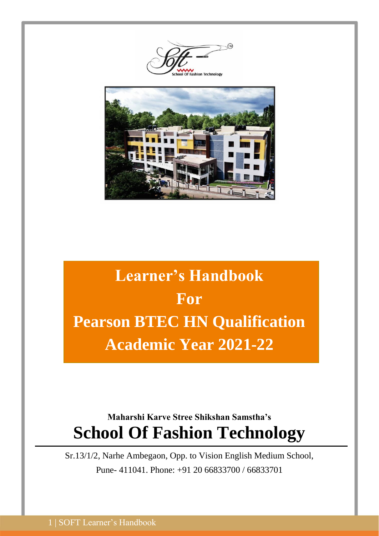ashion Technoloo



# **Learner's Handbook For Pearson BTEC HN Qualification Academic Year 2021-22**

# **Maharshi Karve Stree Shikshan Samstha's School Of Fashion Technology**

Sr.13/1/2, Narhe Ambegaon, Opp. to Vision English Medium School, Pune- 411041. Phone: +91 20 66833700 / 66833701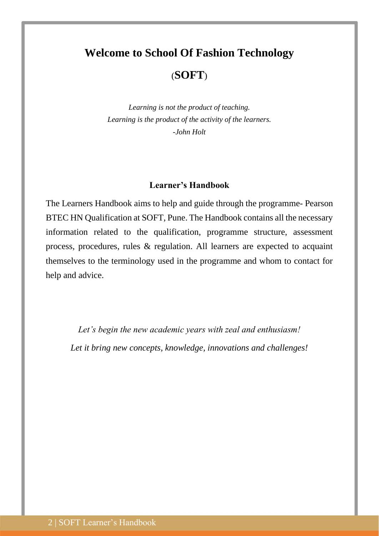# **Welcome to School Of Fashion Technology** (**SOFT**)

*Learning is not the product of teaching. Learning is the product of the activity of the learners. -John Holt*

#### **Learner's Handbook**

The Learners Handbook aims to help and guide through the programme- Pearson BTEC HN Qualification at SOFT, Pune. The Handbook contains all the necessary information related to the qualification, programme structure, assessment process, procedures, rules & regulation. All learners are expected to acquaint themselves to the terminology used in the programme and whom to contact for help and advice.

*Let's begin the new academic years with zeal and enthusiasm! Let it bring new concepts, knowledge, innovations and challenges!*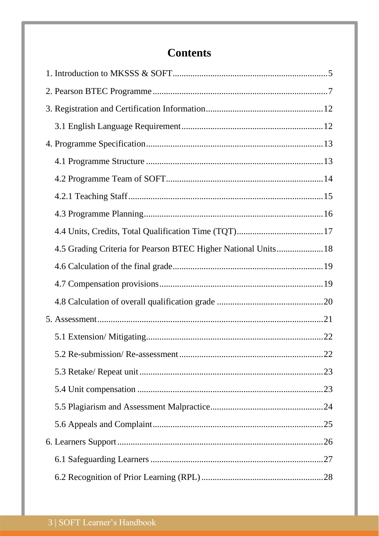# **Contents**

| 4.5 Grading Criteria for Pearson BTEC Higher National Units 18 |  |
|----------------------------------------------------------------|--|
|                                                                |  |
|                                                                |  |
|                                                                |  |
|                                                                |  |
|                                                                |  |
|                                                                |  |
|                                                                |  |
|                                                                |  |
|                                                                |  |
|                                                                |  |
|                                                                |  |
|                                                                |  |
|                                                                |  |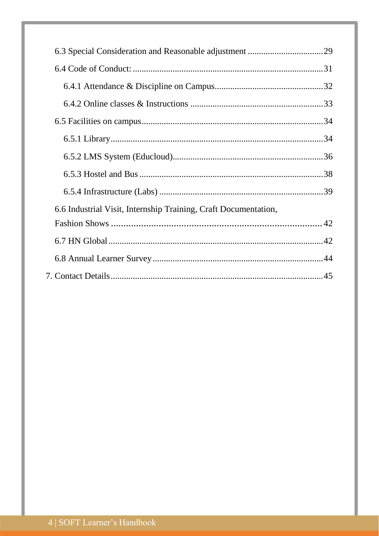| 6.6 Industrial Visit, Internship Training, Craft Documentation, |  |
|-----------------------------------------------------------------|--|
|                                                                 |  |
|                                                                 |  |
|                                                                 |  |
|                                                                 |  |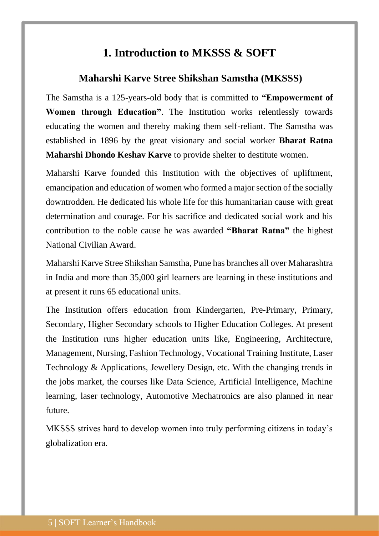# **1. Introduction to MKSSS & SOFT**

# <span id="page-4-0"></span>**Maharshi Karve Stree Shikshan Samstha (MKSSS)**

The Samstha is a 125-years-old body that is committed to **"Empowerment of Women through Education"**. The Institution works relentlessly towards educating the women and thereby making them self-reliant. The Samstha was established in 1896 by the great visionary and social worker **Bharat Ratna Maharshi Dhondo Keshav Karve** to provide shelter to destitute women.

Maharshi Karve founded this Institution with the objectives of upliftment, emancipation and education of women who formed a major section of the socially downtrodden. He dedicated his whole life for this humanitarian cause with great determination and courage. For his sacrifice and dedicated social work and his contribution to the noble cause he was awarded **"Bharat Ratna"** the highest National Civilian Award.

Maharshi Karve Stree Shikshan Samstha, Pune has branches all over Maharashtra in India and more than 35,000 girl learners are learning in these institutions and at present it runs 65 educational units.

The Institution offers education from Kindergarten, Pre-Primary, Primary, Secondary, Higher Secondary schools to Higher Education Colleges. At present the Institution runs higher education units like, Engineering, Architecture, Management, Nursing, Fashion Technology, Vocational Training Institute, Laser Technology & Applications, Jewellery Design, etc. With the changing trends in the jobs market, the courses like Data Science, Artificial Intelligence, Machine learning, laser technology, Automotive Mechatronics are also planned in near future.

MKSSS strives hard to develop women into truly performing citizens in today's globalization era.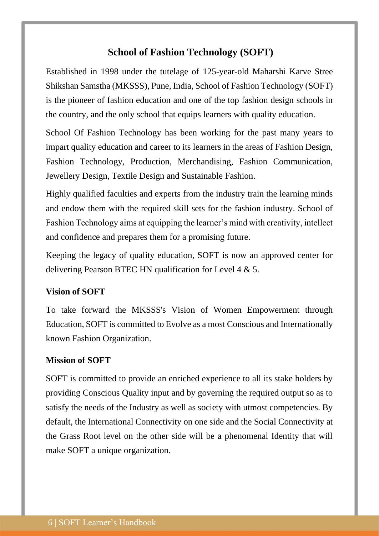# **School of Fashion Technology (SOFT)**

Established in 1998 under the tutelage of 125-year-old Maharshi Karve Stree Shikshan Samstha (MKSSS), Pune, India, School of Fashion Technology (SOFT) is the pioneer of fashion education and one of the top fashion design schools in the country, and the only school that equips learners with quality education.

School Of Fashion Technology has been working for the past many years to impart quality education and career to its learners in the areas of Fashion Design, Fashion Technology, Production, Merchandising, Fashion Communication, Jewellery Design, Textile Design and Sustainable Fashion.

Highly qualified faculties and experts from the industry train the learning minds and endow them with the required skill sets for the fashion industry. School of Fashion Technology aims at equipping the learner's mind with creativity, intellect and confidence and prepares them for a promising future.

Keeping the legacy of quality education, SOFT is now an approved center for delivering Pearson BTEC HN qualification for Level 4 & 5.

### **Vision of SOFT**

To take forward the MKSSS's Vision of Women Empowerment through Education, SOFT is committed to Evolve as a most Conscious and Internationally known Fashion Organization.

### **Mission of SOFT**

SOFT is committed to provide an enriched experience to all its stake holders by providing Conscious Quality input and by governing the required output so as to satisfy the needs of the Industry as well as society with utmost competencies. By default, the International Connectivity on one side and the Social Connectivity at the Grass Root level on the other side will be a phenomenal Identity that will make SOFT a unique organization.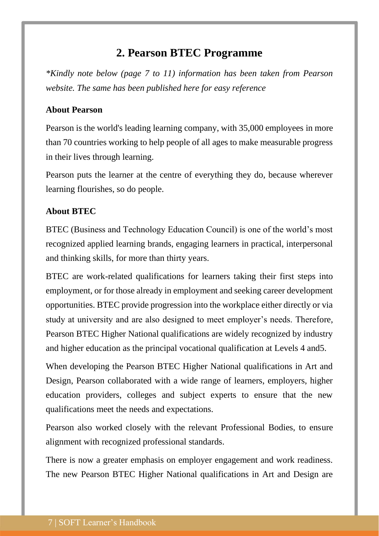# **2. Pearson BTEC Programme**

<span id="page-6-0"></span>*\*Kindly note below (page 7 to 11) information has been taken from Pearson website. The same has been published here for easy reference*

# **About Pearson**

Pearson is the world's leading learning company, with 35,000 employees in more than 70 countries working to help people of all ages to make measurable progress in their lives through learning.

Pearson puts the learner at the centre of everything they do, because wherever learning flourishes, so do people.

# **About BTEC**

BTEC (Business and Technology Education Council) is one of the world's most recognized applied learning brands, engaging learners in practical, interpersonal and thinking skills, for more than thirty years.

BTEC are work-related qualifications for learners taking their first steps into employment, or for those already in employment and seeking career development opportunities. BTEC provide progression into the workplace either directly or via study at university and are also designed to meet employer's needs. Therefore, Pearson BTEC Higher National qualifications are widely recognized by industry and higher education as the principal vocational qualification at Levels 4 and5.

When developing the Pearson BTEC Higher National qualifications in Art and Design, Pearson collaborated with a wide range of learners, employers, higher education providers, colleges and subject experts to ensure that the new qualifications meet the needs and expectations.

Pearson also worked closely with the relevant Professional Bodies, to ensure alignment with recognized professional standards.

There is now a greater emphasis on employer engagement and work readiness. The new Pearson BTEC Higher National qualifications in Art and Design are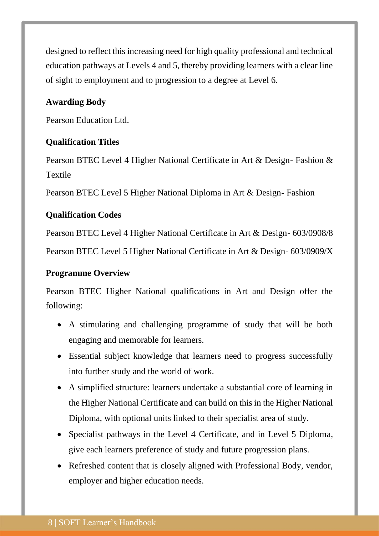designed to reflect this increasing need for high quality professional and technical education pathways at Levels 4 and 5, thereby providing learners with a clear line of sight to employment and to progression to a degree at Level 6.

# **Awarding Body**

Pearson Education Ltd.

### **Qualification Titles**

Pearson BTEC Level 4 Higher National Certificate in Art & Design- Fashion & Textile

Pearson BTEC Level 5 Higher National Diploma in Art & Design- Fashion

### **Qualification Codes**

Pearson BTEC Level 4 Higher National Certificate in Art & Design- 603/0908/8

Pearson BTEC Level 5 Higher National Certificate in Art & Design- 603/0909/X

### **Programme Overview**

Pearson BTEC Higher National qualifications in Art and Design offer the following:

- A stimulating and challenging programme of study that will be both engaging and memorable for learners.
- Essential subject knowledge that learners need to progress successfully into further study and the world of work.
- A simplified structure: learners undertake a substantial core of learning in the Higher National Certificate and can build on this in the Higher National Diploma, with optional units linked to their specialist area of study.
- Specialist pathways in the Level 4 Certificate, and in Level 5 Diploma, give each learners preference of study and future progression plans.
- Refreshed content that is closely aligned with Professional Body, vendor, employer and higher education needs.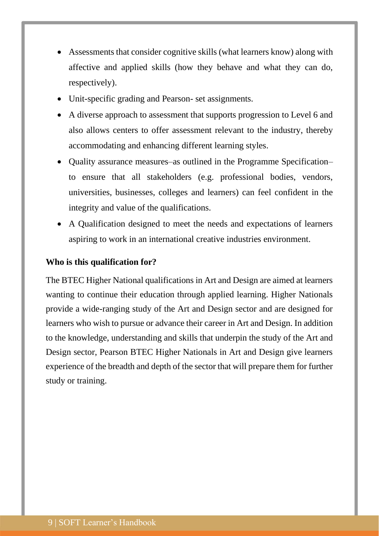- Assessments that consider cognitive skills (what learners know) along with affective and applied skills (how they behave and what they can do, respectively).
- Unit-specific grading and Pearson- set assignments.
- A diverse approach to assessment that supports progression to Level 6 and also allows centers to offer assessment relevant to the industry, thereby accommodating and enhancing different learning styles.
- Quality assurance measures–as outlined in the Programme Specification– to ensure that all stakeholders (e.g. professional bodies, vendors, universities, businesses, colleges and learners) can feel confident in the integrity and value of the qualifications.
- A Qualification designed to meet the needs and expectations of learners aspiring to work in an international creative industries environment.

#### **Who is this qualification for?**

The BTEC Higher National qualifications in Art and Design are aimed at learners wanting to continue their education through applied learning. Higher Nationals provide a wide-ranging study of the Art and Design sector and are designed for learners who wish to pursue or advance their career in Art and Design. In addition to the knowledge, understanding and skills that underpin the study of the Art and Design sector, Pearson BTEC Higher Nationals in Art and Design give learners experience of the breadth and depth of the sector that will prepare them for further study or training.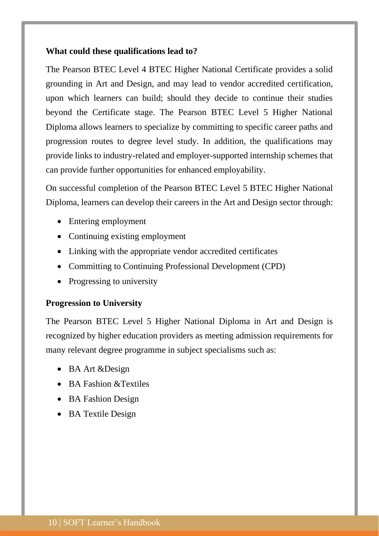### **What could these qualifications lead to?**

The Pearson BTEC Level 4 BTEC Higher National Certificate provides a solid grounding in Art and Design, and may lead to vendor accredited certification, upon which learners can build; should they decide to continue their studies beyond the Certificate stage. The Pearson BTEC Level 5 Higher National Diploma allows learners to specialize by committing to specific career paths and progression routes to degree level study. In addition, the qualifications may provide links to industry-related and employer-supported internship schemes that can provide further opportunities for enhanced employability.

On successful completion of the Pearson BTEC Level 5 BTEC Higher National Diploma, learners can develop their careers in the Art and Design sector through:

- Entering employment
- Continuing existing employment
- Linking with the appropriate vendor accredited certificates
- Committing to Continuing Professional Development (CPD)
- Progressing to university

#### **Progression to University**

The Pearson BTEC Level 5 Higher National Diploma in Art and Design is recognized by higher education providers as meeting admission requirements for many relevant degree programme in subject specialisms such as:

- BA Art &Design
- BA Fashion & Textiles
- BA Fashion Design
- BA Textile Design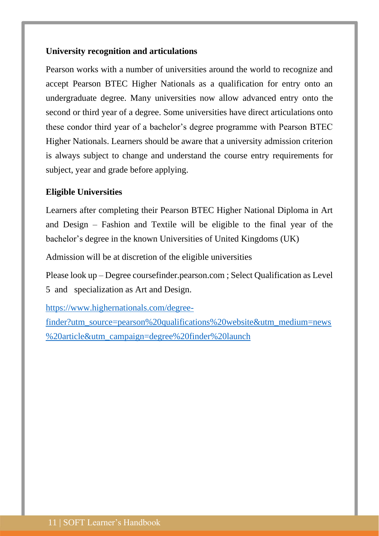# **University recognition and articulations**

Pearson works with a number of universities around the world to recognize and accept Pearson BTEC Higher Nationals as a qualification for entry onto an undergraduate degree. Many universities now allow advanced entry onto the second or third year of a degree. Some universities have direct articulations onto these condor third year of a bachelor's degree programme with Pearson BTEC Higher Nationals. Learners should be aware that a university admission criterion is always subject to change and understand the course entry requirements for subject, year and grade before applying.

### **Eligible Universities**

Learners after completing their Pearson BTEC Higher National Diploma in Art and Design – Fashion and Textile will be eligible to the final year of the bachelor's degree in the known Universities of United Kingdoms (UK)

Admission will be at discretion of the eligible universities

Please look up – Degree coursefinder.pearson.com ; Select Qualification as Level 5 and specialization as Art and Design.

[https://www.highernationals.com/degree-](https://www.highernationals.com/degree-finder?utm_source=pearson%20qualifications%20website&utm_medium=news%20article&utm_campaign=degree%20finder%20launch)

[finder?utm\\_source=pearson%20qualifications%20website&utm\\_medium=news](https://www.highernationals.com/degree-finder?utm_source=pearson%20qualifications%20website&utm_medium=news%20article&utm_campaign=degree%20finder%20launch) [%20article&utm\\_campaign=degree%20finder%20launch](https://www.highernationals.com/degree-finder?utm_source=pearson%20qualifications%20website&utm_medium=news%20article&utm_campaign=degree%20finder%20launch)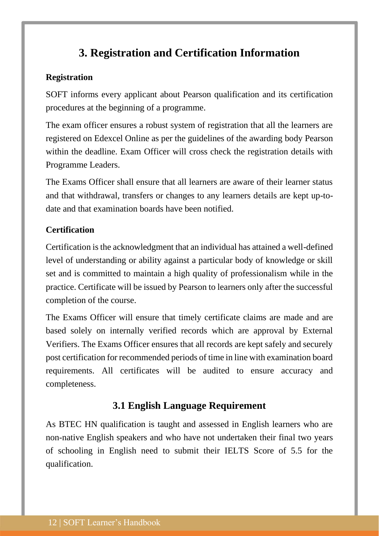# **3. Registration and Certification Information**

# <span id="page-11-0"></span>**Registration**

SOFT informs every applicant about Pearson qualification and its certification procedures at the beginning of a programme.

The exam officer ensures a robust system of registration that all the learners are registered on Edexcel Online as per the guidelines of the awarding body Pearson within the deadline. Exam Officer will cross check the registration details with Programme Leaders.

The Exams Officer shall ensure that all learners are aware of their learner status and that withdrawal, transfers or changes to any learners details are kept up-todate and that examination boards have been notified.

# **Certification**

Certification is the acknowledgment that an individual has attained a well-defined level of understanding or ability against a particular body of knowledge or skill set and is committed to maintain a high quality of professionalism while in the practice. Certificate will be issued by Pearson to learners only after the successful completion of the course.

The Exams Officer will ensure that timely certificate claims are made and are based solely on internally verified records which are approval by External Verifiers. The Exams Officer ensures that all records are kept safely and securely post certification for recommended periods of time in line with examination board requirements. All certificates will be audited to ensure accuracy and completeness.

# **3.1 English Language Requirement**

<span id="page-11-1"></span>As BTEC HN qualification is taught and assessed in English learners who are non-native English speakers and who have not undertaken their final two years of schooling in English need to submit their IELTS Score of 5.5 for the qualification.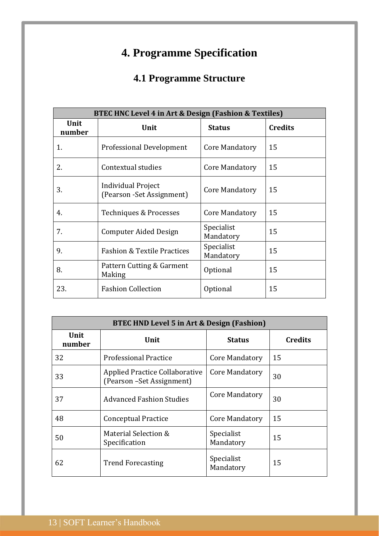# **4. Programme Specification**

# **4.1 Programme Structure**

<span id="page-12-1"></span><span id="page-12-0"></span>

| BTEC HNC Level 4 in Art & Design (Fashion & Textiles) |                                                  |                         |                |  |  |  |
|-------------------------------------------------------|--------------------------------------------------|-------------------------|----------------|--|--|--|
| Unit<br>number                                        | Unit                                             | <b>Status</b>           | <b>Credits</b> |  |  |  |
| 1.                                                    | Professional Development                         | Core Mandatory          | 15             |  |  |  |
| 2.                                                    | Contextual studies                               | Core Mandatory          | 15             |  |  |  |
| 3.                                                    | Individual Project<br>(Pearson - Set Assignment) | Core Mandatory          | 15             |  |  |  |
| 4.                                                    | Techniques & Processes                           | Core Mandatory          | 15             |  |  |  |
| 7.                                                    | <b>Computer Aided Design</b>                     | Specialist<br>Mandatory | 15             |  |  |  |
| 9.                                                    | <b>Fashion &amp; Textile Practices</b>           | Specialist<br>Mandatory | 15             |  |  |  |
| 8.                                                    | Pattern Cutting & Garment<br>Making              | Optional                | 15             |  |  |  |
| 23.                                                   | <b>Fashion Collection</b>                        | Optional                | 15             |  |  |  |

| BTEC HND Level 5 in Art & Design (Fashion) |                                                                     |                         |                |  |  |
|--------------------------------------------|---------------------------------------------------------------------|-------------------------|----------------|--|--|
| Unit<br>number                             | Unit                                                                | <b>Status</b>           | <b>Credits</b> |  |  |
| 32                                         | <b>Professional Practice</b>                                        | Core Mandatory          | 15             |  |  |
| 33                                         | <b>Applied Practice Collaborative</b><br>(Pearson - Set Assignment) | Core Mandatory          | 30             |  |  |
| 37                                         | <b>Advanced Fashion Studies</b>                                     | Core Mandatory          | 30             |  |  |
| 48                                         | <b>Conceptual Practice</b>                                          | Core Mandatory          | 15             |  |  |
| 50                                         | Material Selection &<br>Specification                               | Specialist<br>Mandatory | 15             |  |  |
| 62                                         | <b>Trend Forecasting</b>                                            | Specialist<br>Mandatory | 15             |  |  |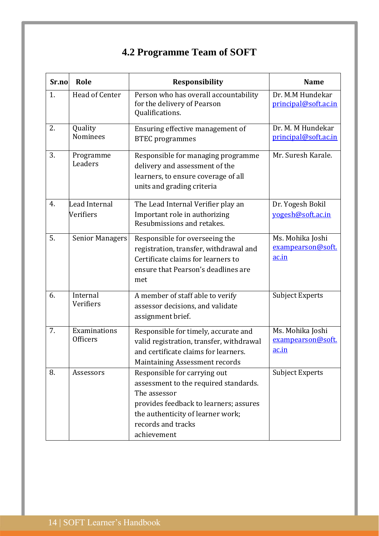# **4.2 Programme Team of SOFT**

<span id="page-13-0"></span>

| Sr.no | Role                            | Responsibility                                                                                                                                                                                            | <b>Name</b>                                    |
|-------|---------------------------------|-----------------------------------------------------------------------------------------------------------------------------------------------------------------------------------------------------------|------------------------------------------------|
| 1.    | Head of Center                  | Person who has overall accountability<br>for the delivery of Pearson<br>Qualifications.                                                                                                                   | Dr. M.M Hundekar<br>principal@soft.ac.in       |
| 2.    | Quality<br><b>Nominees</b>      | Ensuring effective management of<br><b>BTEC</b> programmes                                                                                                                                                | Dr. M. M Hundekar<br>principal@soft.ac.in      |
| 3.    | Programme<br>Leaders            | Responsible for managing programme<br>delivery and assessment of the<br>learners, to ensure coverage of all<br>units and grading criteria                                                                 | Mr. Suresh Karale.                             |
| 4.    | Lead Internal<br>Verifiers      | The Lead Internal Verifier play an<br>Important role in authorizing<br>Resubmissions and retakes.                                                                                                         | Dr. Yogesh Bokil<br>vogesh@soft.ac.in          |
| 5.    | <b>Senior Managers</b>          | Responsible for overseeing the<br>registration, transfer, withdrawal and<br>Certificate claims for learners to<br>ensure that Pearson's deadlines are<br>met                                              | Ms. Mohika Joshi<br>exampearson@soft.<br>ac.in |
| 6.    | Internal<br>Verifiers           | A member of staff able to verify<br>assessor decisions, and validate<br>assignment brief.                                                                                                                 | <b>Subject Experts</b>                         |
| 7.    | Examinations<br><b>Officers</b> | Responsible for timely, accurate and<br>valid registration, transfer, withdrawal<br>and certificate claims for learners.<br><b>Maintaining Assessment records</b>                                         | Ms. Mohika Joshi<br>exampearson@soft.<br>ac.in |
| 8.    | Assessors                       | Responsible for carrying out<br>assessment to the required standards.<br>The assessor<br>provides feedback to learners; assures<br>the authenticity of learner work;<br>records and tracks<br>achievement | <b>Subject Experts</b>                         |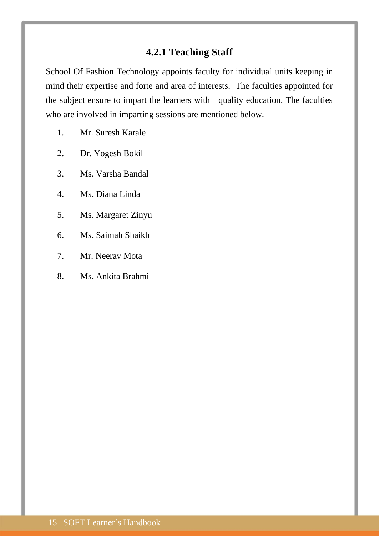# **4.2.1 Teaching Staff**

<span id="page-14-0"></span>School Of Fashion Technology appoints faculty for individual units keeping in mind their expertise and forte and area of interests. The faculties appointed for the subject ensure to impart the learners with quality education. The faculties who are involved in imparting sessions are mentioned below.

- 1. Mr. Suresh Karale
- 2. Dr. Yogesh Bokil
- 3. Ms. Varsha Bandal
- 4. Ms. Diana Linda
- 5. Ms. Margaret Zinyu
- 6. Ms. Saimah Shaikh
- 7. Mr. Neerav Mota
- 8. Ms. Ankita Brahmi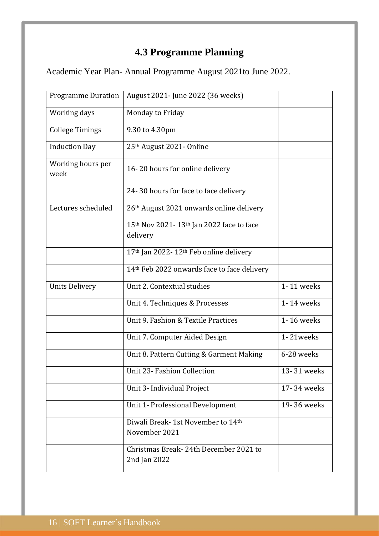# **4.3 Programme Planning**

<span id="page-15-0"></span>Academic Year Plan- Annual Programme August 2021to June 2022.

| <b>Programme Duration</b> | August 2021- June 2022 (36 weeks)                       |             |
|---------------------------|---------------------------------------------------------|-------------|
| Working days              | Monday to Friday                                        |             |
| <b>College Timings</b>    | 9.30 to 4.30pm                                          |             |
| <b>Induction Day</b>      | 25th August 2021- Online                                |             |
| Working hours per<br>week | 16-20 hours for online delivery                         |             |
|                           | 24-30 hours for face to face delivery                   |             |
| Lectures scheduled        | 26th August 2021 onwards online delivery                |             |
|                           | 15th Nov 2021-13th Jan 2022 face to face<br>delivery    |             |
|                           | 17th Jan 2022-12th Feb online delivery                  |             |
|                           | 14 <sup>th</sup> Feb 2022 onwards face to face delivery |             |
| <b>Units Delivery</b>     | Unit 2. Contextual studies                              | 1-11 weeks  |
|                           | Unit 4. Techniques & Processes                          | 1-14 weeks  |
|                           | Unit 9. Fashion & Textile Practices                     | 1-16 weeks  |
|                           | Unit 7. Computer Aided Design                           | 1-21weeks   |
|                           | Unit 8. Pattern Cutting & Garment Making                | 6-28 weeks  |
|                           | Unit 23- Fashion Collection                             | 13-31 weeks |
|                           | Unit 3- Individual Project                              | 17-34 weeks |
|                           | Unit 1- Professional Development                        | 19-36 weeks |
|                           | Diwali Break-1st November to 14th<br>November 2021      |             |
|                           | Christmas Break - 24th December 2021 to<br>2nd Jan 2022 |             |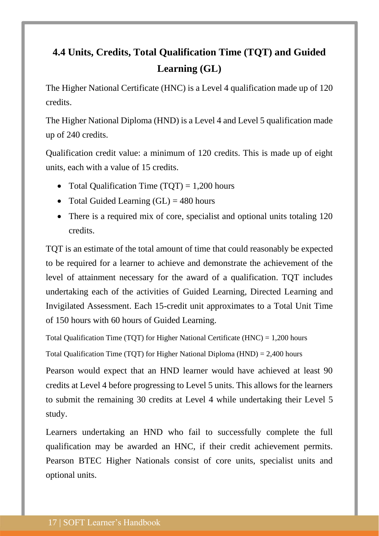# <span id="page-16-0"></span>**4.4 Units, Credits, Total Qualification Time (TQT) and Guided Learning (GL)**

The Higher National Certificate (HNC) is a Level 4 qualification made up of 120 credits.

The Higher National Diploma (HND) is a Level 4 and Level 5 qualification made up of 240 credits.

Qualification credit value: a minimum of 120 credits. This is made up of eight units, each with a value of 15 credits.

- Total Qualification Time  $(TQT) = 1,200$  hours
- Total Guided Learning  $(GL) = 480$  hours
- There is a required mix of core, specialist and optional units totaling 120 credits.

TQT is an estimate of the total amount of time that could reasonably be expected to be required for a learner to achieve and demonstrate the achievement of the level of attainment necessary for the award of a qualification. TQT includes undertaking each of the activities of Guided Learning, Directed Learning and Invigilated Assessment. Each 15-credit unit approximates to a Total Unit Time of 150 hours with 60 hours of Guided Learning.

Total Qualification Time (TQT) for Higher National Certificate (HNC) = 1,200 hours

Total Qualification Time (TQT) for Higher National Diploma (HND) = 2,400 hours

Pearson would expect that an HND learner would have achieved at least 90 credits at Level 4 before progressing to Level 5 units. This allows for the learners to submit the remaining 30 credits at Level 4 while undertaking their Level 5 study.

Learners undertaking an HND who fail to successfully complete the full qualification may be awarded an HNC, if their credit achievement permits. Pearson BTEC Higher Nationals consist of core units, specialist units and optional units.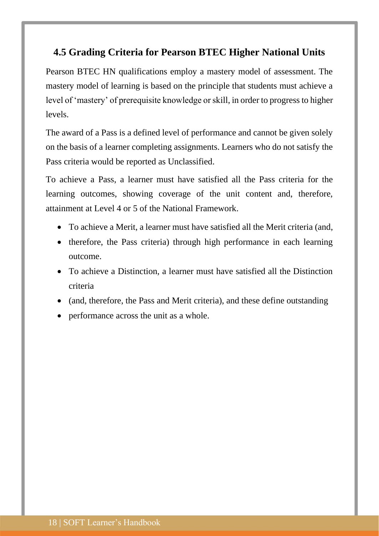# <span id="page-17-0"></span>**4.5 Grading Criteria for Pearson BTEC Higher National Units**

Pearson BTEC HN qualifications employ a mastery model of assessment. The mastery model of learning is based on the principle that students must achieve a level of 'mastery' of prerequisite knowledge or skill, in order to progress to higher levels.

The award of a Pass is a defined level of performance and cannot be given solely on the basis of a learner completing assignments. Learners who do not satisfy the Pass criteria would be reported as Unclassified.

To achieve a Pass, a learner must have satisfied all the Pass criteria for the learning outcomes, showing coverage of the unit content and, therefore, attainment at Level 4 or 5 of the National Framework.

- To achieve a Merit, a learner must have satisfied all the Merit criteria (and,
- therefore, the Pass criteria) through high performance in each learning outcome.
- To achieve a Distinction, a learner must have satisfied all the Distinction criteria
- (and, therefore, the Pass and Merit criteria), and these define outstanding
- performance across the unit as a whole.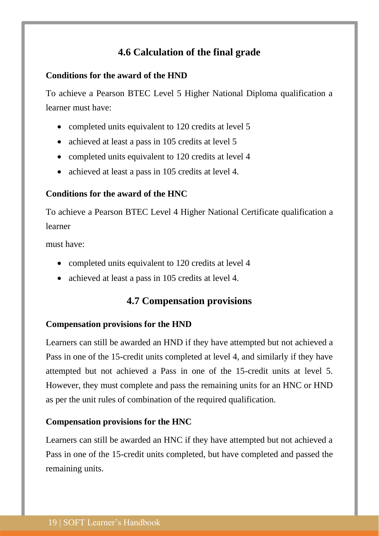# **4.6 Calculation of the final grade**

# <span id="page-18-0"></span>**Conditions for the award of the HND**

To achieve a Pearson BTEC Level 5 Higher National Diploma qualification a learner must have:

- completed units equivalent to 120 credits at level 5
- achieved at least a pass in 105 credits at level 5
- completed units equivalent to 120 credits at level 4
- achieved at least a pass in 105 credits at level 4.

# **Conditions for the award of the HNC**

To achieve a Pearson BTEC Level 4 Higher National Certificate qualification a learner

must have:

- completed units equivalent to 120 credits at level 4
- <span id="page-18-1"></span>• achieved at least a pass in 105 credits at level 4.

# **4.7 Compensation provisions**

# **Compensation provisions for the HND**

Learners can still be awarded an HND if they have attempted but not achieved a Pass in one of the 15-credit units completed at level 4, and similarly if they have attempted but not achieved a Pass in one of the 15-credit units at level 5. However, they must complete and pass the remaining units for an HNC or HND as per the unit rules of combination of the required qualification.

### **Compensation provisions for the HNC**

Learners can still be awarded an HNC if they have attempted but not achieved a Pass in one of the 15-credit units completed, but have completed and passed the remaining units.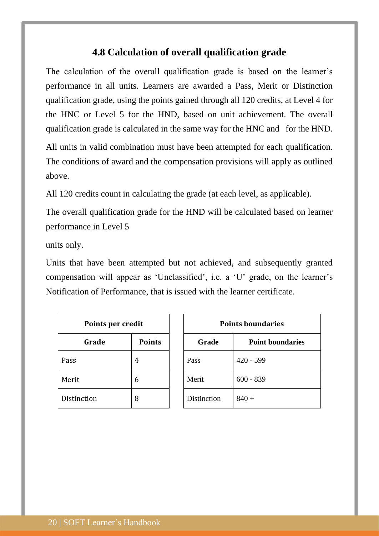# **4.8 Calculation of overall qualification grade**

<span id="page-19-0"></span>The calculation of the overall qualification grade is based on the learner's performance in all units. Learners are awarded a Pass, Merit or Distinction qualification grade, using the points gained through all 120 credits, at Level 4 for the HNC or Level 5 for the HND, based on unit achievement. The overall qualification grade is calculated in the same way for the HNC and for the HND.

All units in valid combination must have been attempted for each qualification. The conditions of award and the compensation provisions will apply as outlined above.

All 120 credits count in calculating the grade (at each level, as applicable).

The overall qualification grade for the HND will be calculated based on learner performance in Level 5

units only.

Units that have been attempted but not achieved, and subsequently granted compensation will appear as 'Unclassified', i.e. a 'U' grade, on the learner's Notification of Performance, that is issued with the learner certificate.

| Points per credit |               |             | <b>Points bound</b> |  |
|-------------------|---------------|-------------|---------------------|--|
| Grade             | <b>Points</b> | Grade       | Point               |  |
| Pass              | 4             | Pass        | $420 - 599$         |  |
| Merit             | 6             | Merit       | $600 - 839$         |  |
| Distinction       | 8             | Distinction | $840 +$             |  |

| Points per credit |               | <b>Points boundaries</b>         |             |
|-------------------|---------------|----------------------------------|-------------|
| Grade             | <b>Points</b> | Grade<br><b>Point boundaries</b> |             |
|                   | 4             | Pass                             | $420 - 599$ |
|                   | 6             | Merit                            | $600 - 839$ |
| tion              | 8             | Distinction                      | $840 +$     |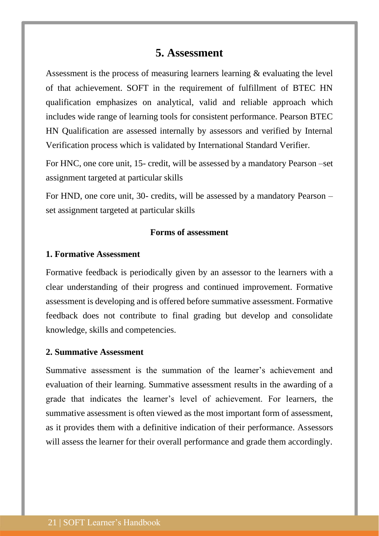# **5. Assessment**

<span id="page-20-0"></span>Assessment is the process of measuring learners learning & evaluating the level of that achievement. SOFT in the requirement of fulfillment of BTEC HN qualification emphasizes on analytical, valid and reliable approach which includes wide range of learning tools for consistent performance. Pearson BTEC HN Qualification are assessed internally by assessors and verified by Internal Verification process which is validated by International Standard Verifier.

For HNC, one core unit, 15- credit, will be assessed by a mandatory Pearson –set assignment targeted at particular skills

For HND, one core unit, 30- credits, will be assessed by a mandatory Pearson – set assignment targeted at particular skills

#### **Forms of assessment**

#### **1. Formative Assessment**

Formative feedback is periodically given by an assessor to the learners with a clear understanding of their progress and continued improvement. Formative assessment is developing and is offered before summative assessment. Formative feedback does not contribute to final grading but develop and consolidate knowledge, skills and competencies.

#### **2. Summative Assessment**

Summative assessment is the summation of the learner's achievement and evaluation of their learning. Summative assessment results in the awarding of a grade that indicates the learner's level of achievement. For learners, the summative assessment is often viewed as the most important form of assessment, as it provides them with a definitive indication of their performance. Assessors will assess the learner for their overall performance and grade them accordingly.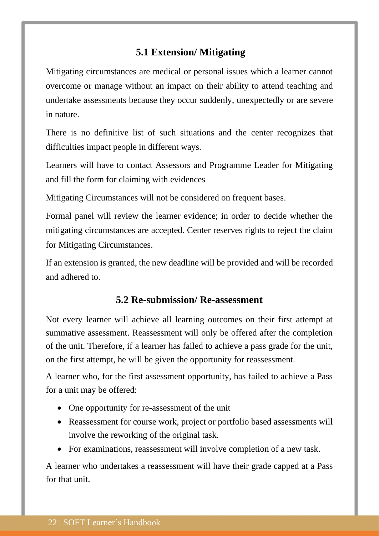# <span id="page-21-0"></span>**5.1 Extension/ Mitigating**

Mitigating circumstances are medical or personal issues which a learner cannot overcome or manage without an impact on their ability to attend teaching and undertake assessments because they occur suddenly, unexpectedly or are severe in nature.

There is no definitive list of such situations and the center recognizes that difficulties impact people in different ways.

Learners will have to contact Assessors and Programme Leader for Mitigating and fill the form for claiming with evidences

Mitigating Circumstances will not be considered on frequent bases.

Formal panel will review the learner evidence; in order to decide whether the mitigating circumstances are accepted. Center reserves rights to reject the claim for Mitigating Circumstances.

If an extension is granted, the new deadline will be provided and will be recorded and adhered to.

# **5.2 Re-submission/ Re-assessment**

<span id="page-21-1"></span>Not every learner will achieve all learning outcomes on their first attempt at summative assessment. Reassessment will only be offered after the completion of the unit. Therefore, if a learner has failed to achieve a pass grade for the unit, on the first attempt, he will be given the opportunity for reassessment.

A learner who, for the first assessment opportunity, has failed to achieve a Pass for a unit may be offered:

- One opportunity for re-assessment of the unit
- Reassessment for course work, project or portfolio based assessments will involve the reworking of the original task.
- For examinations, reassessment will involve completion of a new task.

A learner who undertakes a reassessment will have their grade capped at a Pass for that unit.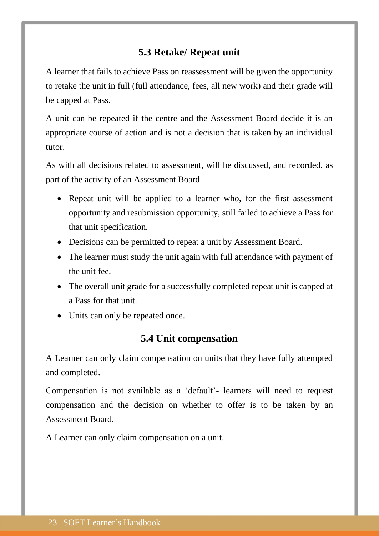# **5.3 Retake/ Repeat unit**

<span id="page-22-0"></span>A learner that fails to achieve Pass on reassessment will be given the opportunity to retake the unit in full (full attendance, fees, all new work) and their grade will be capped at Pass.

A unit can be repeated if the centre and the Assessment Board decide it is an appropriate course of action and is not a decision that is taken by an individual tutor.

As with all decisions related to assessment, will be discussed, and recorded, as part of the activity of an Assessment Board

- Repeat unit will be applied to a learner who, for the first assessment opportunity and resubmission opportunity, still failed to achieve a Pass for that unit specification.
- Decisions can be permitted to repeat a unit by Assessment Board.
- The learner must study the unit again with full attendance with payment of the unit fee.
- The overall unit grade for a successfully completed repeat unit is capped at a Pass for that unit.
- <span id="page-22-1"></span>• Units can only be repeated once.

# **5.4 Unit compensation**

A Learner can only claim compensation on units that they have fully attempted and completed.

Compensation is not available as a 'default'- learners will need to request compensation and the decision on whether to offer is to be taken by an Assessment Board.

A Learner can only claim compensation on a unit.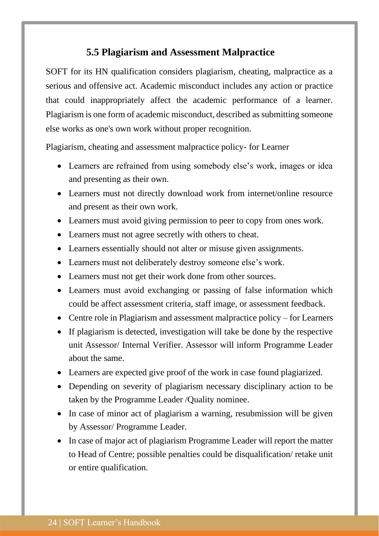# **5.5 Plagiarism and Assessment Malpractice**

<span id="page-23-0"></span>SOFT for its HN qualification considers plagiarism, cheating, malpractice as a serious and offensive act. Academic misconduct includes any action or practice that could inappropriately affect the academic performance of a learner. Plagiarism is one form of academic misconduct, described as submitting someone else works as one's own work without proper recognition.

Plagiarism, cheating and assessment malpractice policy- for Learner

- Learners are refrained from using somebody else's work, images or idea and presenting as their own.
- Learners must not directly download work from internet/online resource and present as their own work.
- Learners must avoid giving permission to peer to copy from ones work.
- Learners must not agree secretly with others to cheat.
- Learners essentially should not alter or misuse given assignments.
- Learners must not deliberately destroy someone else's work.
- Learners must not get their work done from other sources.
- Learners must avoid exchanging or passing of false information which could be affect assessment criteria, staff image, or assessment feedback.
- Centre role in Plagiarism and assessment malpractice policy for Learners
- If plagiarism is detected, investigation will take be done by the respective unit Assessor/ Internal Verifier. Assessor will inform Programme Leader about the same.
- Learners are expected give proof of the work in case found plagiarized.
- Depending on severity of plagiarism necessary disciplinary action to be taken by the Programme Leader /Quality nominee.
- In case of minor act of plagiarism a warning, resubmission will be given by Assessor/ Programme Leader.
- In case of major act of plagiarism Programme Leader will report the matter to Head of Centre; possible penalties could be disqualification/ retake unit or entire qualification.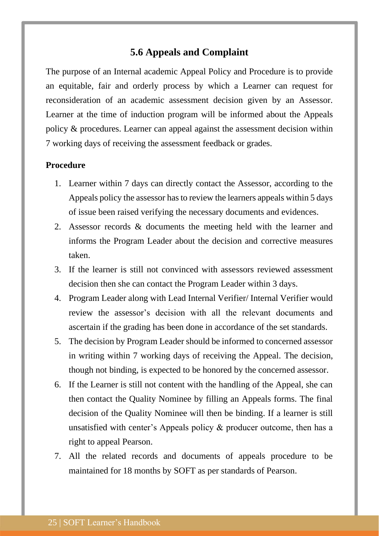# **5.6 Appeals and Complaint**

<span id="page-24-0"></span>The purpose of an Internal academic Appeal Policy and Procedure is to provide an equitable, fair and orderly process by which a Learner can request for reconsideration of an academic assessment decision given by an Assessor. Learner at the time of induction program will be informed about the Appeals policy & procedures. Learner can appeal against the assessment decision within 7 working days of receiving the assessment feedback or grades.

# **Procedure**

- 1. Learner within 7 days can directly contact the Assessor, according to the Appeals policy the assessor has to review the learners appeals within 5 days of issue been raised verifying the necessary documents and evidences.
- 2. Assessor records & documents the meeting held with the learner and informs the Program Leader about the decision and corrective measures taken.
- 3. If the learner is still not convinced with assessors reviewed assessment decision then she can contact the Program Leader within 3 days.
- 4. Program Leader along with Lead Internal Verifier/ Internal Verifier would review the assessor's decision with all the relevant documents and ascertain if the grading has been done in accordance of the set standards.
- 5. The decision by Program Leader should be informed to concerned assessor in writing within 7 working days of receiving the Appeal. The decision, though not binding, is expected to be honored by the concerned assessor.
- 6. If the Learner is still not content with the handling of the Appeal, she can then contact the Quality Nominee by filling an Appeals forms. The final decision of the Quality Nominee will then be binding. If a learner is still unsatisfied with center's Appeals policy & producer outcome, then has a right to appeal Pearson.
- 7. All the related records and documents of appeals procedure to be maintained for 18 months by SOFT as per standards of Pearson.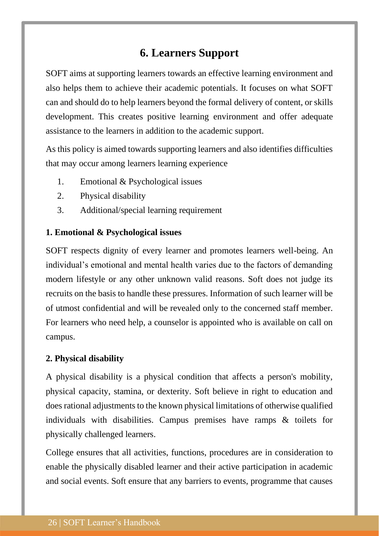# **6. Learners Support**

<span id="page-25-0"></span>SOFT aims at supporting learners towards an effective learning environment and also helps them to achieve their academic potentials. It focuses on what SOFT can and should do to help learners beyond the formal delivery of content, or skills development. This creates positive learning environment and offer adequate assistance to the learners in addition to the academic support.

As this policy is aimed towards supporting learners and also identifies difficulties that may occur among learners learning experience

- 1. Emotional & Psychological issues
- 2. Physical disability
- 3. Additional/special learning requirement

# **1. Emotional & Psychological issues**

SOFT respects dignity of every learner and promotes learners well-being. An individual's emotional and mental health varies due to the factors of demanding modern lifestyle or any other unknown valid reasons. Soft does not judge its recruits on the basis to handle these pressures. Information of such learner will be of utmost confidential and will be revealed only to the concerned staff member. For learners who need help, a counselor is appointed who is available on call on campus.

### **2. Physical disability**

A physical disability is a physical condition that affects a person's mobility, physical capacity, stamina, or dexterity. Soft believe in right to education and does rational adjustments to the known physical limitations of otherwise qualified individuals with disabilities. Campus premises have ramps & toilets for physically challenged learners.

College ensures that all activities, functions, procedures are in consideration to enable the physically disabled learner and their active participation in academic and social events. Soft ensure that any barriers to events, programme that causes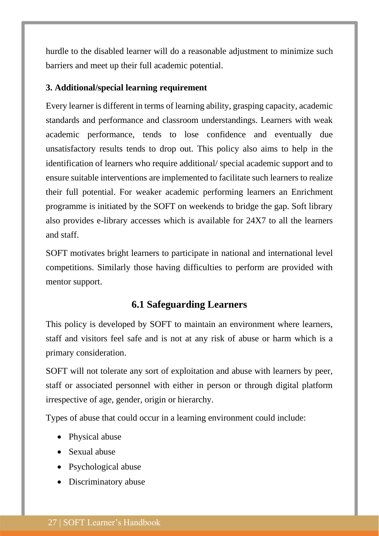hurdle to the disabled learner will do a reasonable adjustment to minimize such barriers and meet up their full academic potential.

### **3. Additional/special learning requirement**

Every learner is different in terms of learning ability, grasping capacity, academic standards and performance and classroom understandings. Learners with weak academic performance, tends to lose confidence and eventually due unsatisfactory results tends to drop out. This policy also aims to help in the identification of learners who require additional/ special academic support and to ensure suitable interventions are implemented to facilitate such learners to realize their full potential. For weaker academic performing learners an Enrichment programme is initiated by the SOFT on weekends to bridge the gap. Soft library also provides e-library accesses which is available for 24X7 to all the learners and staff.

SOFT motivates bright learners to participate in national and international level competitions. Similarly those having difficulties to perform are provided with mentor support.

# **6.1 Safeguarding Learners**

<span id="page-26-0"></span>This policy is developed by SOFT to maintain an environment where learners, staff and visitors feel safe and is not at any risk of abuse or harm which is a primary consideration.

SOFT will not tolerate any sort of exploitation and abuse with learners by peer, staff or associated personnel with either in person or through digital platform irrespective of age, gender, origin or hierarchy.

Types of abuse that could occur in a learning environment could include:

- Physical abuse
- Sexual abuse
- Psychological abuse
- Discriminatory abuse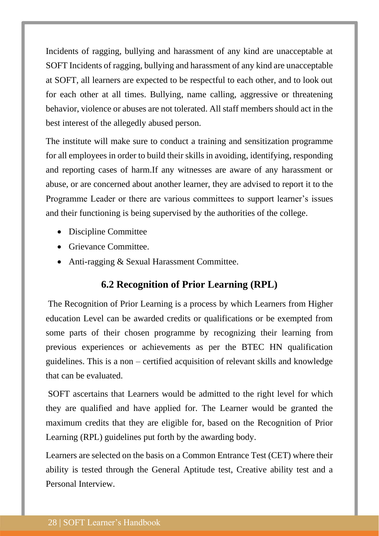Incidents of ragging, bullying and harassment of any kind are unacceptable at SOFT Incidents of ragging, bullying and harassment of any kind are unacceptable at SOFT, all learners are expected to be respectful to each other, and to look out for each other at all times. Bullying, name calling, aggressive or threatening behavior, violence or abuses are not tolerated. All staff members should act in the best interest of the allegedly abused person.

The institute will make sure to conduct a training and sensitization programme for all employees in order to build their skills in avoiding, identifying, responding and reporting cases of harm.If any witnesses are aware of any harassment or abuse, or are concerned about another learner, they are advised to report it to the Programme Leader or there are various committees to support learner's issues and their functioning is being supervised by the authorities of the college.

- Discipline Committee
- Grievance Committee.
- <span id="page-27-0"></span>• Anti-ragging & Sexual Harassment Committee.

# **6.2 Recognition of Prior Learning (RPL)**

The Recognition of Prior Learning is a process by which Learners from Higher education Level can be awarded credits or qualifications or be exempted from some parts of their chosen programme by recognizing their learning from previous experiences or achievements as per the BTEC HN qualification guidelines. This is a non – certified acquisition of relevant skills and knowledge that can be evaluated.

SOFT ascertains that Learners would be admitted to the right level for which they are qualified and have applied for. The Learner would be granted the maximum credits that they are eligible for, based on the Recognition of Prior Learning (RPL) guidelines put forth by the awarding body.

Learners are selected on the basis on a Common Entrance Test (CET) where their ability is tested through the General Aptitude test, Creative ability test and a Personal Interview.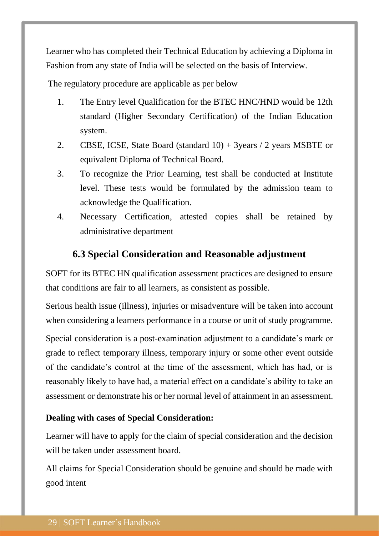Learner who has completed their Technical Education by achieving a Diploma in Fashion from any state of India will be selected on the basis of Interview.

The regulatory procedure are applicable as per below

- 1. The Entry level Qualification for the BTEC HNC/HND would be 12th standard (Higher Secondary Certification) of the Indian Education system.
- 2. CBSE, ICSE, State Board (standard 10) + 3years / 2 years MSBTE or equivalent Diploma of Technical Board.
- 3. To recognize the Prior Learning, test shall be conducted at Institute level. These tests would be formulated by the admission team to acknowledge the Qualification.
- 4. Necessary Certification, attested copies shall be retained by administrative department

# **6.3 Special Consideration and Reasonable adjustment**

<span id="page-28-0"></span>SOFT for its BTEC HN qualification assessment practices are designed to ensure that conditions are fair to all learners, as consistent as possible.

Serious health issue (illness), injuries or misadventure will be taken into account when considering a learners performance in a course or unit of study programme.

Special consideration is a post-examination adjustment to a candidate's mark or grade to reflect temporary illness, temporary injury or some other event outside of the candidate's control at the time of the assessment, which has had, or is reasonably likely to have had, a material effect on a candidate's ability to take an assessment or demonstrate his or her normal level of attainment in an assessment.

# **Dealing with cases of Special Consideration:**

Learner will have to apply for the claim of special consideration and the decision will be taken under assessment board.

All claims for Special Consideration should be genuine and should be made with good intent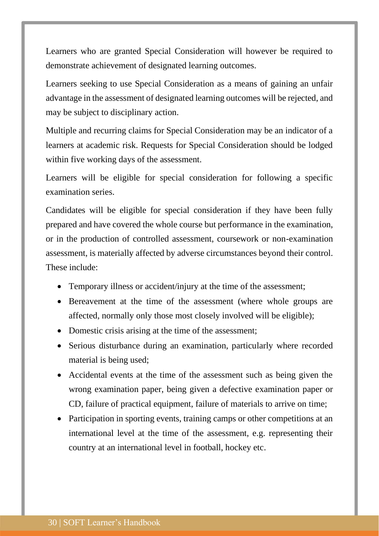Learners who are granted Special Consideration will however be required to demonstrate achievement of designated learning outcomes.

Learners seeking to use Special Consideration as a means of gaining an unfair advantage in the assessment of designated learning outcomes will be rejected, and may be subject to disciplinary action.

Multiple and recurring claims for Special Consideration may be an indicator of a learners at academic risk. Requests for Special Consideration should be lodged within five working days of the assessment.

Learners will be eligible for special consideration for following a specific examination series.

Candidates will be eligible for special consideration if they have been fully prepared and have covered the whole course but performance in the examination, or in the production of controlled assessment, coursework or non-examination assessment, is materially affected by adverse circumstances beyond their control. These include:

- Temporary illness or accident/injury at the time of the assessment;
- Bereavement at the time of the assessment (where whole groups are affected, normally only those most closely involved will be eligible);
- Domestic crisis arising at the time of the assessment;
- Serious disturbance during an examination, particularly where recorded material is being used;
- Accidental events at the time of the assessment such as being given the wrong examination paper, being given a defective examination paper or CD, failure of practical equipment, failure of materials to arrive on time;
- Participation in sporting events, training camps or other competitions at an international level at the time of the assessment, e.g. representing their country at an international level in football, hockey etc.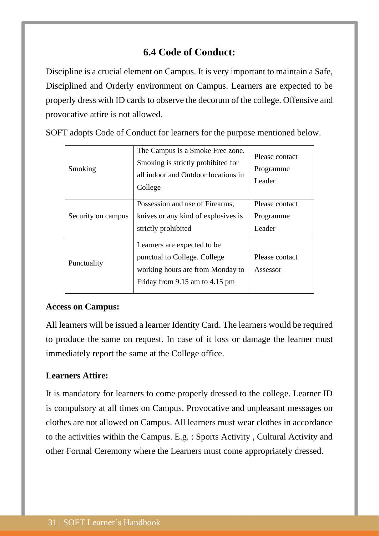# **6.4 Code of Conduct:**

<span id="page-30-0"></span>Discipline is a crucial element on Campus. It is very important to maintain a Safe, Disciplined and Orderly environment on Campus. Learners are expected to be properly dress with ID cards to observe the decorum of the college. Offensive and provocative attire is not allowed.

SOFT adopts Code of Conduct for learners for the purpose mentioned below.

| Smoking            | The Campus is a Smoke Free zone.<br>Smoking is strictly prohibited for<br>all indoor and Outdoor locations in<br>College          | Please contact<br>Programme<br>Leader |
|--------------------|-----------------------------------------------------------------------------------------------------------------------------------|---------------------------------------|
| Security on campus | Possession and use of Firearms,<br>knives or any kind of explosives is<br>strictly prohibited                                     | Please contact<br>Programme<br>Leader |
| Punctuality        | Learners are expected to be<br>punctual to College. College<br>working hours are from Monday to<br>Friday from 9.15 am to 4.15 pm | Please contact<br>Assessor            |

# **Access on Campus:**

All learners will be issued a learner Identity Card. The learners would be required to produce the same on request. In case of it loss or damage the learner must immediately report the same at the College office.

# **Learners Attire:**

It is mandatory for learners to come properly dressed to the college. Learner ID is compulsory at all times on Campus. Provocative and unpleasant messages on clothes are not allowed on Campus. All learners must wear clothes in accordance to the activities within the Campus. E.g. : Sports Activity , Cultural Activity and other Formal Ceremony where the Learners must come appropriately dressed.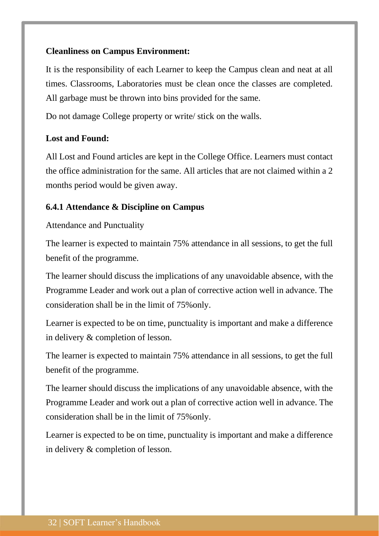# **Cleanliness on Campus Environment:**

It is the responsibility of each Learner to keep the Campus clean and neat at all times. Classrooms, Laboratories must be clean once the classes are completed. All garbage must be thrown into bins provided for the same.

Do not damage College property or write/ stick on the walls.

# **Lost and Found:**

All Lost and Found articles are kept in the College Office. Learners must contact the office administration for the same. All articles that are not claimed within a 2 months period would be given away.

# <span id="page-31-0"></span>**6.4.1 Attendance & Discipline on Campus**

Attendance and Punctuality

The learner is expected to maintain 75% attendance in all sessions, to get the full benefit of the programme.

The learner should discuss the implications of any unavoidable absence, with the Programme Leader and work out a plan of corrective action well in advance. The consideration shall be in the limit of 75%only.

Learner is expected to be on time, punctuality is important and make a difference in delivery & completion of lesson.

The learner is expected to maintain 75% attendance in all sessions, to get the full benefit of the programme.

The learner should discuss the implications of any unavoidable absence, with the Programme Leader and work out a plan of corrective action well in advance. The consideration shall be in the limit of 75%only.

Learner is expected to be on time, punctuality is important and make a difference in delivery & completion of lesson.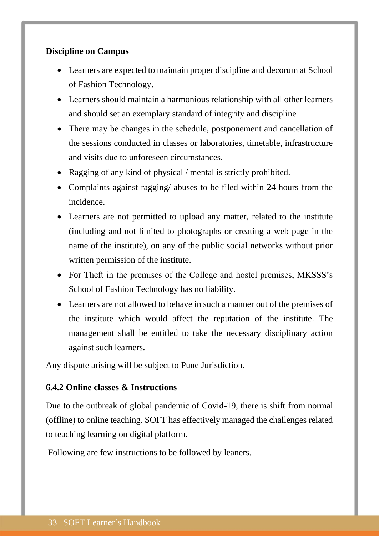# **Discipline on Campus**

- Learners are expected to maintain proper discipline and decorum at School of Fashion Technology.
- Learners should maintain a harmonious relationship with all other learners and should set an exemplary standard of integrity and discipline
- There may be changes in the schedule, postponement and cancellation of the sessions conducted in classes or laboratories, timetable, infrastructure and visits due to unforeseen circumstances.
- Ragging of any kind of physical / mental is strictly prohibited.
- Complaints against ragging/ abuses to be filed within 24 hours from the incidence.
- Learners are not permitted to upload any matter, related to the institute (including and not limited to photographs or creating a web page in the name of the institute), on any of the public social networks without prior written permission of the institute.
- For Theft in the premises of the College and hostel premises, MKSSS's School of Fashion Technology has no liability.
- Learners are not allowed to behave in such a manner out of the premises of the institute which would affect the reputation of the institute. The management shall be entitled to take the necessary disciplinary action against such learners.

Any dispute arising will be subject to Pune Jurisdiction.

#### <span id="page-32-0"></span>**6.4.2 Online classes & Instructions**

Due to the outbreak of global pandemic of Covid-19, there is shift from normal (offline) to online teaching. SOFT has effectively managed the challenges related to teaching learning on digital platform.

Following are few instructions to be followed by leaners.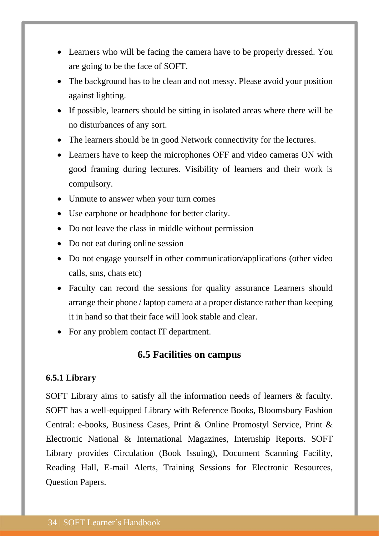- Learners who will be facing the camera have to be properly dressed. You are going to be the face of SOFT.
- The background has to be clean and not messy. Please avoid your position against lighting.
- If possible, learners should be sitting in isolated areas where there will be no disturbances of any sort.
- The learners should be in good Network connectivity for the lectures.
- Learners have to keep the microphones OFF and video cameras ON with good framing during lectures. Visibility of learners and their work is compulsory.
- Unmute to answer when your turn comes
- Use earphone or headphone for better clarity.
- Do not leave the class in middle without permission
- Do not eat during online session
- Do not engage yourself in other communication/applications (other video calls, sms, chats etc)
- Faculty can record the sessions for quality assurance Learners should arrange their phone / laptop camera at a proper distance rather than keeping it in hand so that their face will look stable and clear.
- <span id="page-33-0"></span>• For any problem contact IT department.

# **6.5 Facilities on campus**

#### <span id="page-33-1"></span>**6.5.1 Library**

SOFT Library aims to satisfy all the information needs of learners & faculty. SOFT has a well-equipped Library with Reference Books, Bloomsbury Fashion Central: e-books, Business Cases, Print & Online Promostyl Service, Print & Electronic National & International Magazines, Internship Reports. SOFT Library provides Circulation (Book Issuing), Document Scanning Facility, Reading Hall, E-mail Alerts, Training Sessions for Electronic Resources, Question Papers.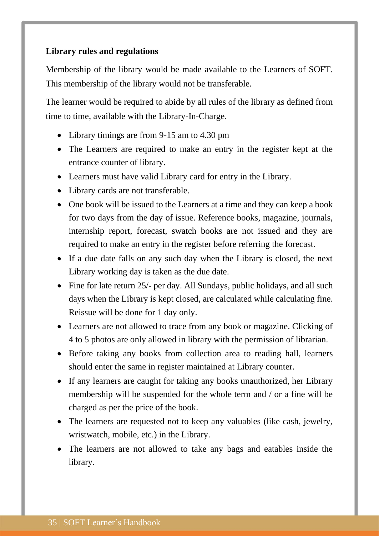# **Library rules and regulations**

Membership of the library would be made available to the Learners of SOFT. This membership of the library would not be transferable.

The learner would be required to abide by all rules of the library as defined from time to time, available with the Library-In-Charge.

- Library timings are from 9-15 am to 4.30 pm
- The Learners are required to make an entry in the register kept at the entrance counter of library.
- Learners must have valid Library card for entry in the Library.
- Library cards are not transferable.
- One book will be issued to the Learners at a time and they can keep a book for two days from the day of issue. Reference books, magazine, journals, internship report, forecast, swatch books are not issued and they are required to make an entry in the register before referring the forecast.
- If a due date falls on any such day when the Library is closed, the next Library working day is taken as the due date.
- Fine for late return 25/- per day. All Sundays, public holidays, and all such days when the Library is kept closed, are calculated while calculating fine. Reissue will be done for 1 day only.
- Learners are not allowed to trace from any book or magazine. Clicking of 4 to 5 photos are only allowed in library with the permission of librarian.
- Before taking any books from collection area to reading hall, learners should enter the same in register maintained at Library counter.
- If any learners are caught for taking any books unauthorized, her Library membership will be suspended for the whole term and / or a fine will be charged as per the price of the book.
- The learners are requested not to keep any valuables (like cash, jewelry, wristwatch, mobile, etc.) in the Library.
- The learners are not allowed to take any bags and eatables inside the library.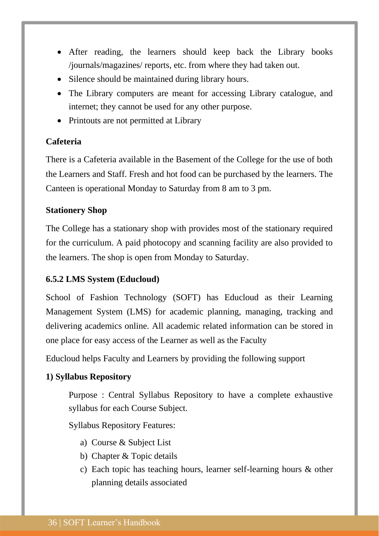- After reading, the learners should keep back the Library books /journals/magazines/ reports, etc. from where they had taken out.
- Silence should be maintained during library hours.
- The Library computers are meant for accessing Library catalogue, and internet; they cannot be used for any other purpose.
- Printouts are not permitted at Library

# **Cafeteria**

There is a Cafeteria available in the Basement of the College for the use of both the Learners and Staff. Fresh and hot food can be purchased by the learners. The Canteen is operational Monday to Saturday from 8 am to 3 pm.

# **Stationery Shop**

The College has a stationary shop with provides most of the stationary required for the curriculum. A paid photocopy and scanning facility are also provided to the learners. The shop is open from Monday to Saturday.

# <span id="page-35-0"></span>**6.5.2 LMS System (Educloud)**

School of Fashion Technology (SOFT) has Educloud as their Learning Management System (LMS) for academic planning, managing, tracking and delivering academics online. All academic related information can be stored in one place for easy access of the Learner as well as the Faculty

Educloud helps Faculty and Learners by providing the following support

# **1) Syllabus Repository**

Purpose : Central Syllabus Repository to have a complete exhaustive syllabus for each Course Subject.

Syllabus Repository Features:

- a) Course & Subject List
- b) Chapter & Topic details
- c) Each topic has teaching hours, learner self-learning hours & other planning details associated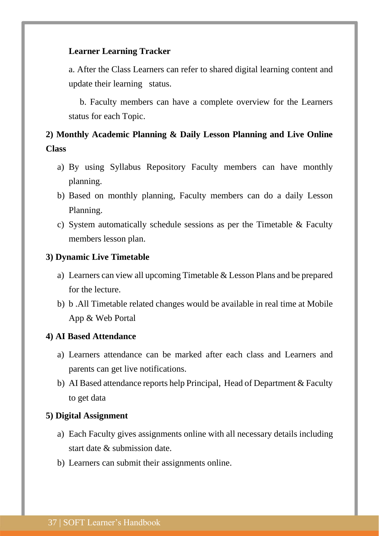# **Learner Learning Tracker**

a. After the Class Learners can refer to shared digital learning content and update their learning status.

 b. Faculty members can have a complete overview for the Learners status for each Topic.

# **2) Monthly Academic Planning & Daily Lesson Planning and Live Online Class**

- a) By using Syllabus Repository Faculty members can have monthly planning.
- b) Based on monthly planning, Faculty members can do a daily Lesson Planning.
- c) System automatically schedule sessions as per the Timetable & Faculty members lesson plan.

#### **3) Dynamic Live Timetable**

- a) Learners can view all upcoming Timetable & Lesson Plans and be prepared for the lecture.
- b) b .All Timetable related changes would be available in real time at Mobile App & Web Portal

#### **4) AI Based Attendance**

- a) Learners attendance can be marked after each class and Learners and parents can get live notifications.
- b) AI Based attendance reports help Principal, Head of Department & Faculty to get data

#### **5) Digital Assignment**

- a) Each Faculty gives assignments online with all necessary details including start date & submission date.
- b) Learners can submit their assignments online.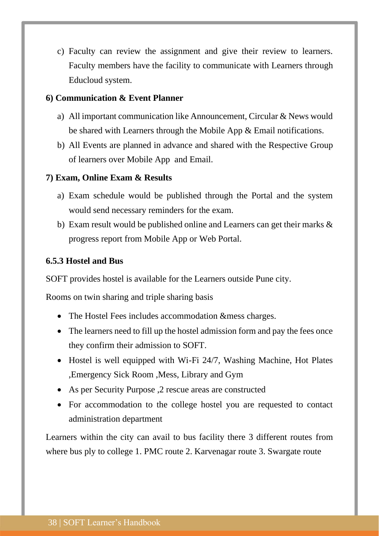c) Faculty can review the assignment and give their review to learners. Faculty members have the facility to communicate with Learners through Educloud system.

### **6) Communication & Event Planner**

- a) All important communication like Announcement, Circular & News would be shared with Learners through the Mobile App & Email notifications.
- b) All Events are planned in advance and shared with the Respective Group of learners over Mobile App and Email.

#### **7) Exam, Online Exam & Results**

- a) Exam schedule would be published through the Portal and the system would send necessary reminders for the exam.
- b) Exam result would be published online and Learners can get their marks & progress report from Mobile App or Web Portal.

#### <span id="page-37-0"></span>**6.5.3 Hostel and Bus**

SOFT provides hostel is available for the Learners outside Pune city.

Rooms on twin sharing and triple sharing basis

- The Hostel Fees includes accommodation &mess charges.
- The learners need to fill up the hostel admission form and pay the fees once they confirm their admission to SOFT.
- Hostel is well equipped with Wi-Fi 24/7, Washing Machine, Hot Plates ,Emergency Sick Room ,Mess, Library and Gym
- As per Security Purpose ,2 rescue areas are constructed
- For accommodation to the college hostel you are requested to contact administration department

Learners within the city can avail to bus facility there 3 different routes from where bus ply to college 1. PMC route 2. Karvenagar route 3. Swargate route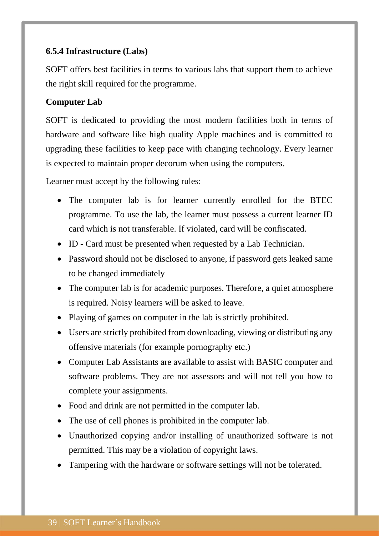# <span id="page-38-0"></span>**6.5.4 Infrastructure (Labs)**

SOFT offers best facilities in terms to various labs that support them to achieve the right skill required for the programme.

# **Computer Lab**

SOFT is dedicated to providing the most modern facilities both in terms of hardware and software like high quality Apple machines and is committed to upgrading these facilities to keep pace with changing technology. Every learner is expected to maintain proper decorum when using the computers.

Learner must accept by the following rules:

- The computer lab is for learner currently enrolled for the BTEC programme. To use the lab, the learner must possess a current learner ID card which is not transferable. If violated, card will be confiscated.
- ID Card must be presented when requested by a Lab Technician.
- Password should not be disclosed to anyone, if password gets leaked same to be changed immediately
- The computer lab is for academic purposes. Therefore, a quiet atmosphere is required. Noisy learners will be asked to leave.
- Playing of games on computer in the lab is strictly prohibited.
- Users are strictly prohibited from downloading, viewing or distributing any offensive materials (for example pornography etc.)
- Computer Lab Assistants are available to assist with BASIC computer and software problems. They are not assessors and will not tell you how to complete your assignments.
- Food and drink are not permitted in the computer lab.
- The use of cell phones is prohibited in the computer lab.
- Unauthorized copying and/or installing of unauthorized software is not permitted. This may be a violation of copyright laws.
- Tampering with the hardware or software settings will not be tolerated.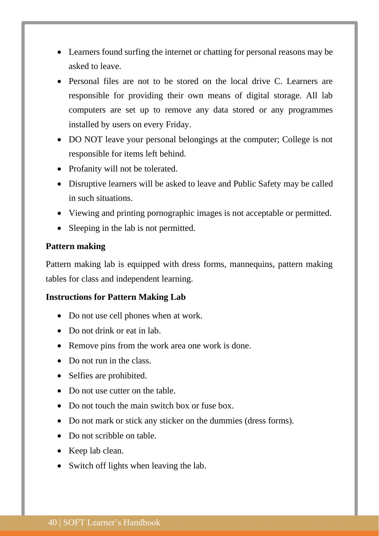- Learners found surfing the internet or chatting for personal reasons may be asked to leave.
- Personal files are not to be stored on the local drive C. Learners are responsible for providing their own means of digital storage. All lab computers are set up to remove any data stored or any programmes installed by users on every Friday.
- DO NOT leave your personal belongings at the computer; College is not responsible for items left behind.
- Profanity will not be tolerated.
- Disruptive learners will be asked to leave and Public Safety may be called in such situations.
- Viewing and printing pornographic images is not acceptable or permitted.
- Sleeping in the lab is not permitted.

### **Pattern making**

Pattern making lab is equipped with dress forms, mannequins, pattern making tables for class and independent learning.

### **Instructions for Pattern Making Lab**

- Do not use cell phones when at work.
- Do not drink or eat in lab.
- Remove pins from the work area one work is done.
- Do not run in the class.
- Selfies are prohibited.
- Do not use cutter on the table.
- Do not touch the main switch box or fuse box.
- Do not mark or stick any sticker on the dummies (dress forms).
- Do not scribble on table.
- Keep lab clean.
- Switch off lights when leaving the lab.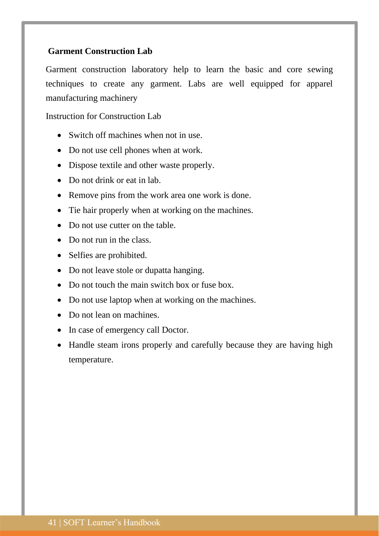# **Garment Construction Lab**

Garment construction laboratory help to learn the basic and core sewing techniques to create any garment. Labs are well equipped for apparel manufacturing machinery

Instruction for Construction Lab

- Switch off machines when not in use.
- Do not use cell phones when at work.
- Dispose textile and other waste properly.
- Do not drink or eat in lab.
- Remove pins from the work area one work is done.
- Tie hair properly when at working on the machines.
- Do not use cutter on the table.
- Do not run in the class.
- Selfies are prohibited.
- Do not leave stole or dupatta hanging.
- Do not touch the main switch box or fuse box.
- Do not use laptop when at working on the machines.
- Do not lean on machines.
- In case of emergency call Doctor.
- Handle steam irons properly and carefully because they are having high temperature.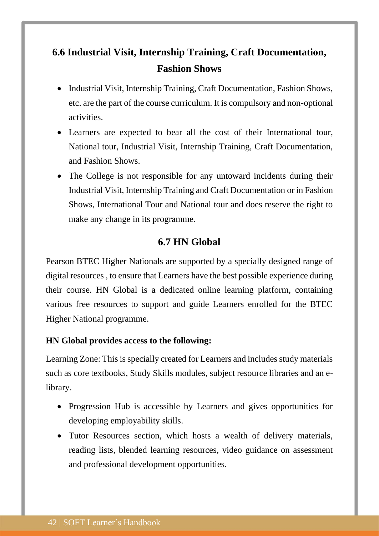# <span id="page-41-0"></span>**6.6 Industrial Visit, Internship Training, Craft Documentation, Fashion Shows**

- Industrial Visit, Internship Training, Craft Documentation, Fashion Shows, etc. are the part of the course curriculum. It is compulsory and non-optional activities.
- Learners are expected to bear all the cost of their International tour, National tour, Industrial Visit, Internship Training, Craft Documentation, and Fashion Shows.
- The College is not responsible for any untoward incidents during their Industrial Visit, Internship Training and Craft Documentation or in Fashion Shows, International Tour and National tour and does reserve the right to make any change in its programme.

# **6.7 HN Global**

<span id="page-41-1"></span>Pearson BTEC Higher Nationals are supported by a specially designed range of digital resources , to ensure that Learners have the best possible experience during their course. HN Global is a dedicated online learning platform, containing various free resources to support and guide Learners enrolled for the BTEC Higher National programme.

# **HN Global provides access to the following:**

Learning Zone: This is specially created for Learners and includes study materials such as core textbooks, Study Skills modules, subject resource libraries and an elibrary.

- Progression Hub is accessible by Learners and gives opportunities for developing employability skills.
- Tutor Resources section, which hosts a wealth of delivery materials, reading lists, blended learning resources, video guidance on assessment and professional development opportunities.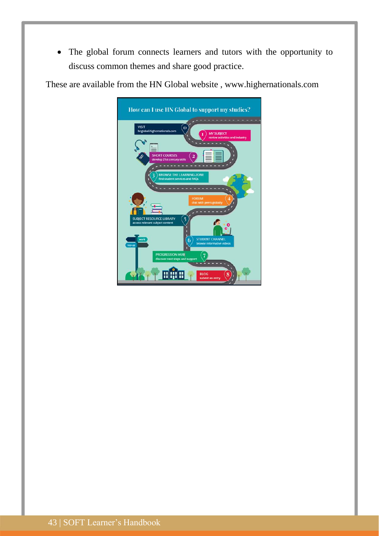• The global forum connects learners and tutors with the opportunity to discuss common themes and share good practice.

These are available from the HN Global website , www.highernationals.com

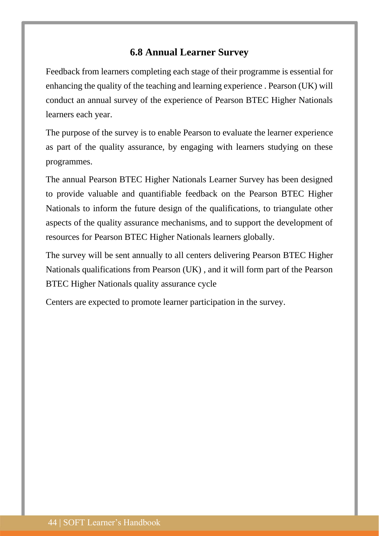# **6.8 Annual Learner Survey**

<span id="page-43-0"></span>Feedback from learners completing each stage of their programme is essential for enhancing the quality of the teaching and learning experience . Pearson (UK) will conduct an annual survey of the experience of Pearson BTEC Higher Nationals learners each year.

The purpose of the survey is to enable Pearson to evaluate the learner experience as part of the quality assurance, by engaging with learners studying on these programmes.

The annual Pearson BTEC Higher Nationals Learner Survey has been designed to provide valuable and quantifiable feedback on the Pearson BTEC Higher Nationals to inform the future design of the qualifications, to triangulate other aspects of the quality assurance mechanisms, and to support the development of resources for Pearson BTEC Higher Nationals learners globally.

The survey will be sent annually to all centers delivering Pearson BTEC Higher Nationals qualifications from Pearson (UK) , and it will form part of the Pearson BTEC Higher Nationals quality assurance cycle

Centers are expected to promote learner participation in the survey.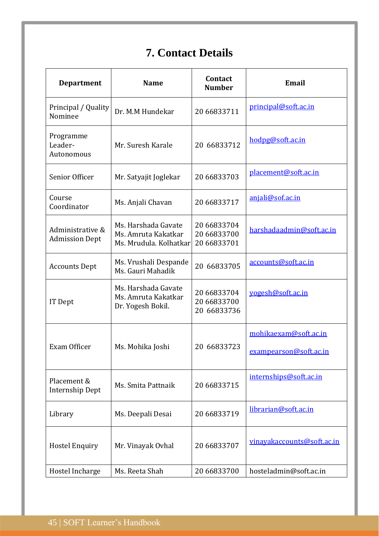# **7. Contact Details**

<span id="page-44-0"></span>

| <b>Department</b>                         | <b>Name</b>                                                          | Contact<br><b>Number</b>                  | <b>Email</b>                                    |
|-------------------------------------------|----------------------------------------------------------------------|-------------------------------------------|-------------------------------------------------|
| Principal / Quality<br>Nominee            | Dr. M.M Hundekar                                                     | 20 66833711                               | principal@soft.ac.in                            |
| Programme<br>Leader-<br>Autonomous        | Mr. Suresh Karale                                                    | 20 66833712                               | hodpg@soft.ac.in                                |
| Senior Officer                            | Mr. Satyajit Joglekar                                                | 20 66833703                               | placement@soft.ac.in                            |
| Course<br>Coordinator                     | Ms. Anjali Chavan                                                    | 20 66833717                               | anjali@sof.ac.in                                |
| Administrative &<br><b>Admission Dept</b> | Ms. Harshada Gavate<br>Ms. Amruta Kakatkar<br>Ms. Mrudula. Kolhatkar | 20 66833704<br>20 66833700<br>20 66833701 | harshadaadmin@soft.ac.in                        |
| <b>Accounts Dept</b>                      | Ms. Vrushali Despande<br>Ms. Gauri Mahadik                           | 20 66833705                               | accounts@soft.ac.in                             |
| IT Dept                                   | Ms. Harshada Gavate<br>Ms. Amruta Kakatkar<br>Dr. Yogesh Bokil.      | 20 66833704<br>20 66833700<br>20 66833736 | yogesh@soft.ac.in                               |
| Exam Officer                              | Ms. Mohika Joshi                                                     | 20 66833723                               | mohikaexam@soft.ac.in<br>exampearson@soft.ac.in |
| Placement &<br><b>Internship Dept</b>     | Ms. Smita Pattnaik                                                   | 20 66833715                               | internships@soft.ac.in                          |
| Library                                   | Ms. Deepali Desai                                                    | 20 66833719                               | librarian@soft.ac.in                            |
| <b>Hostel Enquiry</b>                     | Mr. Vinayak Ovhal                                                    | 20 66833707                               | vinayakaccounts@soft.ac.in                      |
| Hostel Incharge                           | Ms. Reeta Shah                                                       | 20 66833700                               | hosteladmin@soft.ac.in                          |